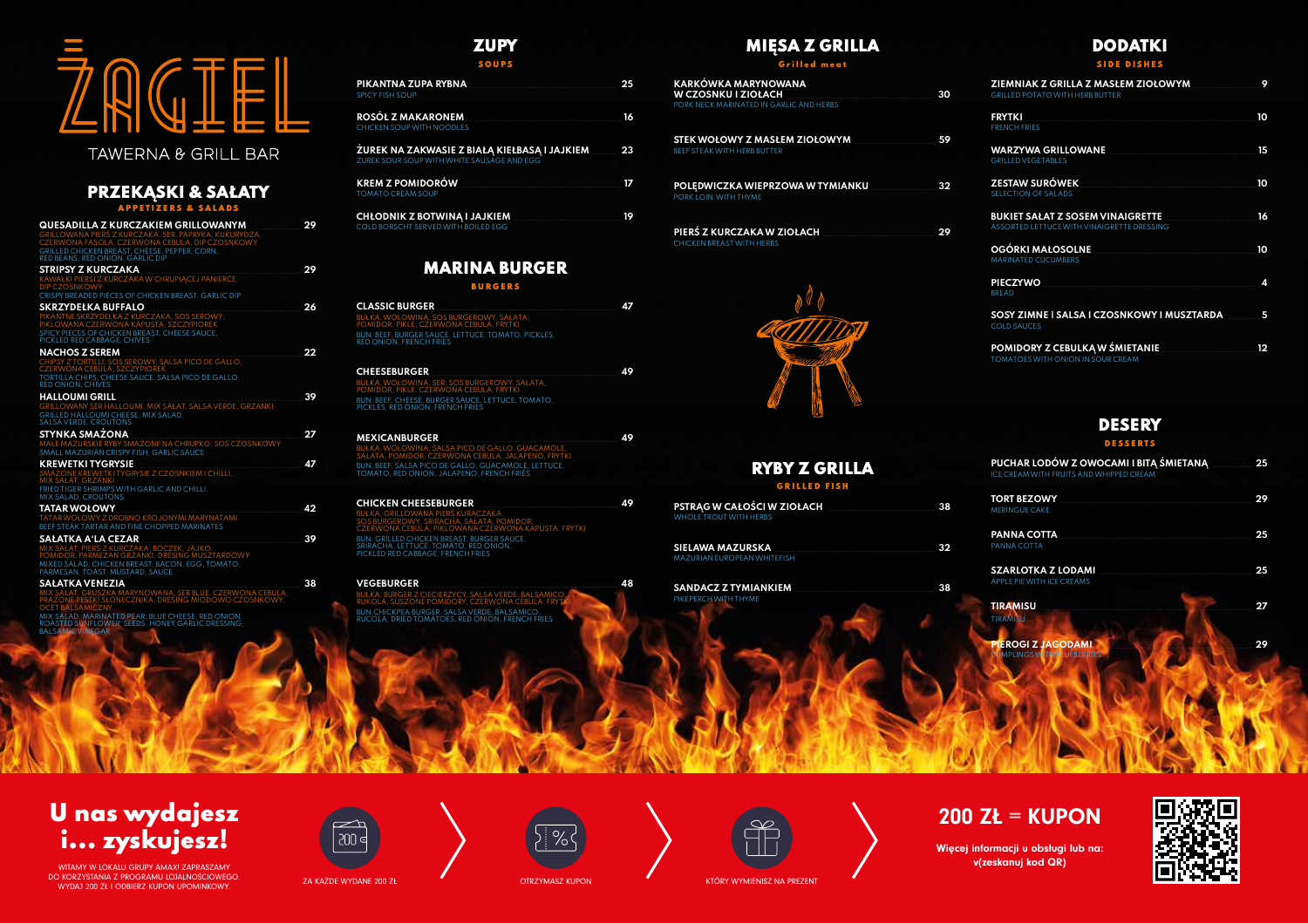# **B 20 The Company**

# TAWERNA & GRILL BAR



Więcej informacji u obsługi lub na:



# U nas wydajesz i... zyskujesz!

WITAMY W LOKALU GRUPY AMAX! ZAPRASZAMY **v(zeskanuj kod QR)** DO KORZYSTANIA Z PROGRAMU LOJALNOŚCIOWEGO. U KURZYSTANIA Z PRUGRAMU LUJALNUSCIUWEGU.<br>WYDAJ 200 ZŁ I ODBIERZ KUPON UPOMINKOWY. W WYDANE ZA KAŻDE WYDANE 200 ZŁ OTRZYMASZ KUPON KTÓRY WYMIENISZ NA PREZENT









## **DODATKI**

#### S I D E D I SHES

## PRZEKĄSKI & SAŁATY

APPETIZERS & SALADS

| QUESADILLA Z KURCZAKIEM GRILLOWANYM                                                                      | 29 |
|----------------------------------------------------------------------------------------------------------|----|
| GRILLOWANA PIERŚ Z KURCZAKA, SER, PAPRYKA, KUKURYDZA,<br>CZERWONA FASOLA, CZERWONA CEBULA, DIP CZOSNKOWY |    |
| <b>GRILLED CHICKEN BREAST, CHEESE, PEPPER, CORN.</b><br>RED BEANS, RED ONION, GARLIC DIP                 |    |
| <b>STRIPSY Z KURCZAKA</b>                                                                                | 29 |
| KAWAŁKI PIERSI Z KURCZAKA W CHRUPIĄCEJ PANIERCE,                                                         |    |
| <b>DIP CZOSNKOWY</b>                                                                                     |    |
| CRISPY BREADED PIECES OF CHICKEN BREAST, GARLIC DIP                                                      |    |
| <b>SKRZYDEŁKA BUFFALO</b>                                                                                | 26 |
| PIKANTNE SKRZYDEŁKA Z KURCZAKA, SOS SEROWY.<br>PIKLOWANA CZERWONA KAPUSTA, SZCZYPIOREK                   |    |
| SPICY PIECES OF CHICKEN BREAST, CHEESE SAUCE.                                                            |    |
| PICKLED RED CABBAGE, CHIVES                                                                              |    |
| <b>NACHOS Z SEREM</b>                                                                                    | 22 |
| CHIPSY Z TORTILLI, SOS SEROWY, SALSA PICO DE GALLO,<br><b>CZERWONA CEBULA, SZCZYPIOREK</b>               |    |
| TORTILLA CHIPS. CHEESE SAUCE. SALSA PICO DE GALLO.                                                       |    |
| <b>RED ONION, CHIVES</b>                                                                                 |    |
| <b>HALLOUMI GRILL</b>                                                                                    | 39 |
| GRILLOWANY SER HALLOUMI, MIX SAŁAT, SALSA VERDE, GRZANKI<br><b>GRILLED HALLOUMI CHEESE, MIX SALAD.</b>   |    |
| SALSA VERDE, CROUTONS                                                                                    |    |
| <b>STYNKA SMAZONA</b>                                                                                    | 27 |
| MAŁE MAZURSKIE RYBY SMAŻONE NA CHRUPKO, SOS CZOSNKOWY                                                    |    |
| SMALL MAZURIAN CRISPY FISH, GARLIC SAUCE                                                                 |    |
| <b>KREWETKI TYGRYSIE</b><br>SMAZONE KREWETKI TYGRYSIE Z CZOSNKIEM I CHILLI,                              | Δ7 |
| MIX SAŁAT, GRZANKI                                                                                       |    |
| FRIED TIGER SHRIMPS WITH GARLIC AND CHILLI,                                                              |    |
| MIX SALAD, CROUTONS                                                                                      |    |
| <b>TATAR WOŁOWY</b><br>TATAR WOŁOWY Z DROBNO KROJONYMI MARYNATAMI                                        | 42 |
| BEEF STEAK TARTAR AND FINE CHOPPED MARINATES                                                             |    |
| <b>SAŁATKA A'LA CEZAR</b>                                                                                | 39 |
| MIX SAŁAT, PIERŚ Z KURCZAKA, BOCZEK, JAJKO,                                                              |    |
| POMIDOR, PARMEZAN GRZANKI, DRESING MUSZTARDOWY                                                           |    |
| MIXED SALAD, CHICKEN BREAST, BACON, EGG, TOMATO,<br>PARMESAN, TOAST, MUSTARD, SAUCE                      |    |
| <b>SAŁATKA VENEZIA</b>                                                                                   | 38 |
| MIX SAŁAT, GRUSZKA MARYNOWANA, SER BLUE, CZERWONA CEBULA,                                                |    |
| PRAŽONE PESTKI SŁONECZNIKA, DRESING MIODOWO CZOSNKOWY,<br>OCET BALSAMICZNY                               |    |
|                                                                                                          |    |

MIX SALAD, MARINATED PEAR, BLUE CHEESE, RED ONION, ROASTED SUNFLOWER' SEEDS, HONEY GARLIC DRESSING, BALSAMIC VINEGAR

## **ZUPY**

 $SIELAWA MAXURSKA$ MAZURIAN EUROPEAN WHITEFISH

SOUPS

| PIKANTNA ZUPA RYBNA<br><b>SPICY FISH SOUP</b>                                               | 25 |
|---------------------------------------------------------------------------------------------|----|
| <u>ROSÓŁ Z MAKARONEM</u><br>CHICKEN SOUP WITH NOODLES                                       | 16 |
| ŽUREK NA ZAKWASIE Z BIAŁĄ KIEŁBASĄ I JAJKIEM.<br>ŻUREK SOUR SOUP WITH WHITE SAUSAGE AND EGG | 23 |
| <b>KREM Z POMIDORÓW</b><br><b>TOMATO CREAM SOUP</b>                                         | 17 |
| <b>CHŁODNIK Z BOTWINĄ I JAJKIEM</b><br>COLD BORSCHT SERVED WITH BOILED EGG                  | 19 |

# MARINA BURGER

BURGERS

#### **CLASSIC BURGER** \_\_\_\_\_\_\_\_\_\_\_\_\_\_\_\_\_\_\_\_\_\_\_\_\_\_\_\_\_\_\_\_\_\_\_\_\_\_\_\_\_\_\_\_\_ **47** BUŁKA, WOŁOWINA, SOS BURGEROWY, SAŁATA, POMIDOR, PIKLE, CZERWONA CEBULA, FRYTKI BUN, BEEF, BURGER SAUCE, LETTUCE, TOMATO, PICKLES, RED ONION, FRENCH FRIES

| <b>CHEESEBURGER</b>                                                                          | 49 |
|----------------------------------------------------------------------------------------------|----|
| BUŁKA, WOŁOWINA, SER, SOS BURGEROWY, SAŁATA,<br>POMIDOR, PIKLE, CZERWONA CEBULA, FRYTKI      |    |
| <b>BUN, BEEF, CHEESE, BURGER SAUCE, LETTUCE, TOMATO.</b><br>PICKLES, RED ONION, FRENCH FRIES |    |

| <b>MEXICANBURGER</b>                                                                                   | 49 |
|--------------------------------------------------------------------------------------------------------|----|
| BUŁKA, WOŁOWINA, SALSA PICO DE GALLO, GUACAMOLE.<br>SALATA, POMIDOR, CZERWONA CEBULA, JALAPENO, FRYTKI |    |
| BUN, BEEF, SALSA PICO DE GALLO, GUACAMOLE, LETTUCE,<br>TOMATO, RED ONION, JALAPENO, FRENCH FRIES       |    |

#### **CHICKEN CHEESEBURGER** \_\_\_\_\_\_\_\_\_\_\_\_\_\_\_\_\_\_\_\_\_\_\_\_\_\_\_\_\_\_\_\_\_\_\_ **49** BUŁKA, GRILLOWANA PIERŚ KURACZAKA, MIDOR,<br>IONA KAPUSTA, FRYTKI CZERWONA CEBULA, PIKLOWANA CZERWONA KAPUSTA, FRYTKI BUN, GRILLED CHICKEN BREAST, BURGER SAUCE, SRIRACHA, LETTUCE, TOMATO, RED ONION, PICKLED RED CABBAGE, FRENCH FRIES

**VEGEBURGER** \_\_\_\_\_\_\_\_\_\_\_\_\_\_\_\_\_\_\_\_\_\_\_\_\_\_\_\_\_\_\_\_\_\_\_\_\_\_\_\_\_\_\_\_\_\_\_\_\_ **48** BUŁKA, BURGER Z CIECIERZYCY, SALSA VERDE, BALSAMICO, RUKOLA, SUSZONE POMIDORY, CZERWONA CEBULA, FRYTKI BUN,CHICKPEA BURGER, SALSA VERDE, BALSAMICO, RUCOLA, DRIED TOMATOES, RED ONION, FRENCH FRIES

## MIĘSA Z GRILLA

Grilled meat

| KARKOWKA MARYNOWANA<br><b>W CZOSNKU I ZIOŁACH</b> | -30 |
|---------------------------------------------------|-----|
| PORK NECK MARINATED IN GARLIC AND HERBS           |     |

**STEK WOŁOWY Z MASŁEM ZIOŁOWYM** \_\_\_\_\_\_\_\_\_\_\_\_\_\_\_\_\_\_\_\_ **59** BEEF STEAK WITH HERB BUTTER

**POLĘDWICZKA WIEPRZOWA W TYMIANKU** \_\_\_\_\_\_\_\_\_\_\_\_\_\_\_\_ **32** PORK LOIN WITH THYME

**PIERŚ Z KURCZAKA W ZIOŁACH** \_\_\_\_\_\_\_\_\_\_\_\_\_\_\_\_\_\_\_\_\_\_\_\_\_\_\_\_ **29** CHICKEN BREAST WITH HERBS



## RYBY Z GRI **GRILLED FI.**

**PSTRĄG W CAŁOŚCI W ZIOŁACH** \_\_\_\_\_\_\_\_\_\_\_\_\_\_\_\_\_\_\_\_\_\_\_\_\_\_\_ **38** WHOLE TROUT WITH HERBS

**SANDACZ Z TYMIANKIEM** \_\_\_\_\_\_\_\_\_\_\_\_\_\_\_\_\_\_\_\_\_\_\_\_\_\_\_\_\_\_\_\_\_\_\_ **38** PIKEPERCH WITH THYME

| 30 | ZIEMNIAK Z GRILLA Z MASŁEM ZIOŁOWYM<br><b>GRILLED POTATO WITH HERB BUTTER</b>         | 9  |
|----|---------------------------------------------------------------------------------------|----|
|    | <b>FRYTKI</b><br><b>FRENCH FRIES</b>                                                  | 10 |
| 59 | <b>WARZYWA GRILLOWANE</b><br><b>GRILLED VEGETABLES</b>                                | 15 |
| 32 | <b>ZESTAW SURÓWEK</b><br><b>SELECTION OF SALADS</b>                                   | 10 |
| 29 | <b>BUKIET SAŁAT Z SOSEM VINAIGRETTE</b><br>ASSORTED LETTUCE WITH VINAIGRETTE DRESSING | 16 |
|    | <b>OGÓRKI MAŁOSOLNE</b><br><b>MARINATED CUCUMBERS</b>                                 | 10 |
|    | <b>PIECZYWO</b><br><b>BREAD</b>                                                       | 4  |
|    | SOSY ZIMNE I SALSA I CZOSNKOWY I MUSZTARDA<br><b>COLD SAUCES</b>                      | 5  |
|    | POMIDORY Z CEBULKĄ W ŚMIETANIE<br>TOMATOES WITH ONION IN SOUR CREAM                   | 12 |



#### DESSERTS

| ILLA |    | PUCHAR LODÓW Z OWOCAMI I BITĄ ŚMIETANĄ<br>ICE CREAM WITH FRUITS AND WHIPPED CREAM | 25 |
|------|----|-----------------------------------------------------------------------------------|----|
|      | 38 | <b>TORT BEZOWY</b><br><b>MERINGUE CAKE</b>                                        | 29 |
|      | 32 | <b>PANNA COTTA</b><br>PANNA COTTA                                                 | 25 |
|      | 38 | <b>SZARLOTKA Z LODAMI</b><br>APPLE PIE WITH ICE CREAMS                            | 25 |
|      |    | <b>TIRAMISU</b><br><b>TIRAMISU</b>                                                | 27 |
|      |    | <b>PIEROGI Z JAGODAMI</b><br><b>DUMPLINGS WITH BLUEBERRIES</b>                    | 29 |
|      |    |                                                                                   |    |
|      |    |                                                                                   |    |
|      |    |                                                                                   |    |